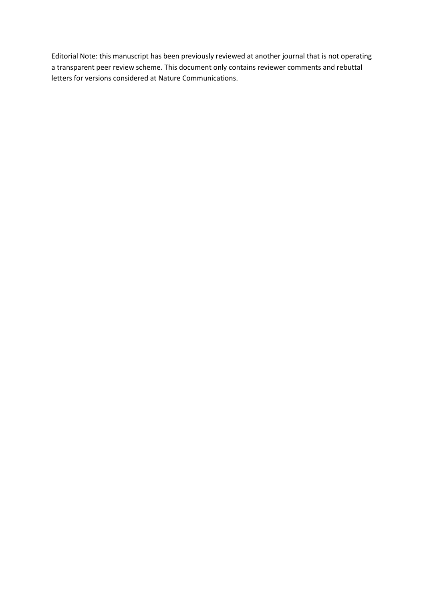Editorial Note: this manuscript has been previously reviewed at another journal that is not operating a transparent peer review scheme. This document only contains reviewer comments and rebuttal letters for versions considered at Nature Communications.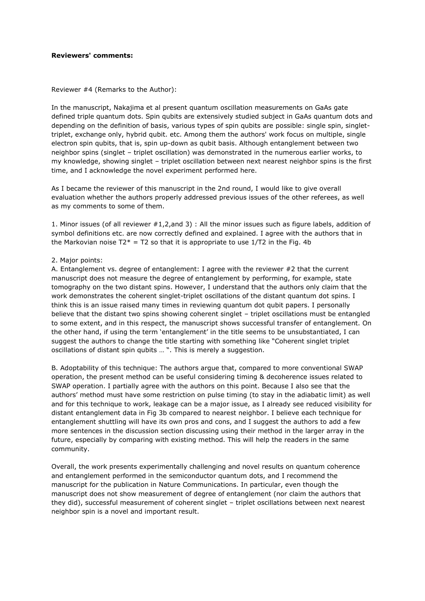#### **Reviewers' comments:**

Reviewer #4 (Remarks to the Author):

In the manuscript, Nakajima et al present quantum oscillation measurements on GaAs gate defined triple quantum dots. Spin qubits are extensively studied subject in GaAs quantum dots and depending on the definition of basis, various types of spin qubits are possible: single spin, singlettriplet, exchange only, hybrid qubit. etc. Among them the authors' work focus on multiple, single electron spin qubits, that is, spin up-down as qubit basis. Although entanglement between two neighbor spins (singlet – triplet oscillation) was demonstrated in the numerous earlier works, to my knowledge, showing singlet – triplet oscillation between next nearest neighbor spins is the first time, and I acknowledge the novel experiment performed here.

As I became the reviewer of this manuscript in the 2nd round, I would like to give overall evaluation whether the authors properly addressed previous issues of the other referees, as well as my comments to some of them.

1. Minor issues (of all reviewer #1,2,and 3) : All the minor issues such as figure labels, addition of symbol definitions etc. are now correctly defined and explained. I agree with the authors that in the Markovian noise T2\* = T2 so that it is appropriate to use  $1/T2$  in the Fig. 4b

#### 2. Major points:

A. Entanglement vs. degree of entanglement: I agree with the reviewer #2 that the current manuscript does not measure the degree of entanglement by performing, for example, state tomography on the two distant spins. However, I understand that the authors only claim that the work demonstrates the coherent singlet-triplet oscillations of the distant quantum dot spins. I think this is an issue raised many times in reviewing quantum dot qubit papers. I personally believe that the distant two spins showing coherent singlet – triplet oscillations must be entangled to some extent, and in this respect, the manuscript shows successful transfer of entanglement. On the other hand, if using the term 'entanglement' in the title seems to be unsubstantiated, I can suggest the authors to change the title starting with something like "Coherent singlet triplet oscillations of distant spin qubits … ". This is merely a suggestion.

B. Adoptability of this technique: The authors argue that, compared to more conventional SWAP operation, the present method can be useful considering timing & decoherence issues related to SWAP operation. I partially agree with the authors on this point. Because I also see that the authors' method must have some restriction on pulse timing (to stay in the adiabatic limit) as well and for this technique to work, leakage can be a major issue, as I already see reduced visibility for distant entanglement data in Fig 3b compared to nearest neighbor. I believe each technique for entanglement shuttling will have its own pros and cons, and I suggest the authors to add a few more sentences in the discussion section discussing using their method in the larger array in the future, especially by comparing with existing method. This will help the readers in the same community.

Overall, the work presents experimentally challenging and novel results on quantum coherence and entanglement performed in the semiconductor quantum dots, and I recommend the manuscript for the publication in Nature Communications. In particular, even though the manuscript does not show measurement of degree of entanglement (nor claim the authors that they did), successful measurement of coherent singlet – triplet oscillations between next nearest neighbor spin is a novel and important result.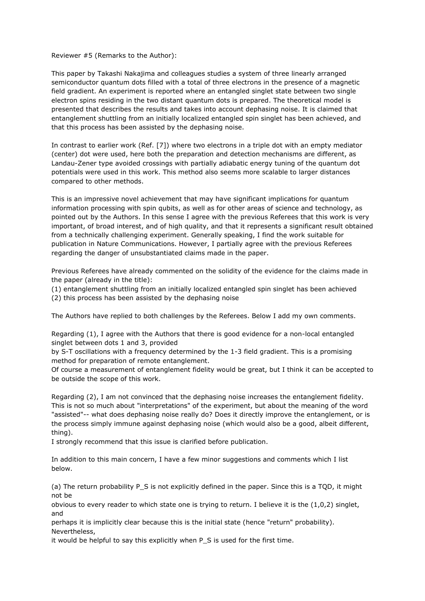#### Reviewer #5 (Remarks to the Author):

This paper by Takashi Nakajima and colleagues studies a system of three linearly arranged semiconductor quantum dots filled with a total of three electrons in the presence of a magnetic field gradient. An experiment is reported where an entangled singlet state between two single electron spins residing in the two distant quantum dots is prepared. The theoretical model is presented that describes the results and takes into account dephasing noise. It is claimed that entanglement shuttling from an initially localized entangled spin singlet has been achieved, and that this process has been assisted by the dephasing noise.

In contrast to earlier work (Ref. [7]) where two electrons in a triple dot with an empty mediator (center) dot were used, here both the preparation and detection mechanisms are different, as Landau-Zener type avoided crossings with partially adiabatic energy tuning of the quantum dot potentials were used in this work. This method also seems more scalable to larger distances compared to other methods.

This is an impressive novel achievement that may have significant implications for quantum information processing with spin qubits, as well as for other areas of science and technology, as pointed out by the Authors. In this sense I agree with the previous Referees that this work is very important, of broad interest, and of high quality, and that it represents a significant result obtained from a technically challenging experiment. Generally speaking, I find the work suitable for publication in Nature Communications. However, I partially agree with the previous Referees regarding the danger of unsubstantiated claims made in the paper.

Previous Referees have already commented on the solidity of the evidence for the claims made in the paper (already in the title):

(1) entanglement shuttling from an initially localized entangled spin singlet has been achieved

(2) this process has been assisted by the dephasing noise

The Authors have replied to both challenges by the Referees. Below I add my own comments.

Regarding (1), I agree with the Authors that there is good evidence for a non-local entangled singlet between dots 1 and 3, provided

by S-T oscillations with a frequency determined by the 1-3 field gradient. This is a promising method for preparation of remote entanglement.

Of course a measurement of entanglement fidelity would be great, but I think it can be accepted to be outside the scope of this work.

Regarding (2), I am not convinced that the dephasing noise increases the entanglement fidelity. This is not so much about "interpretations" of the experiment, but about the meaning of the word "assisted"-- what does dephasing noise really do? Does it directly improve the entanglement, or is the process simply immune against dephasing noise (which would also be a good, albeit different, thing).

I strongly recommend that this issue is clarified before publication.

In addition to this main concern, I have a few minor suggestions and comments which I list below.

(a) The return probability P\_S is not explicitly defined in the paper. Since this is a TQD, it might not be

obvious to every reader to which state one is trying to return. I believe it is the (1,0,2) singlet, and

perhaps it is implicitly clear because this is the initial state (hence "return" probability). Nevertheless,

it would be helpful to say this explicitly when P\_S is used for the first time.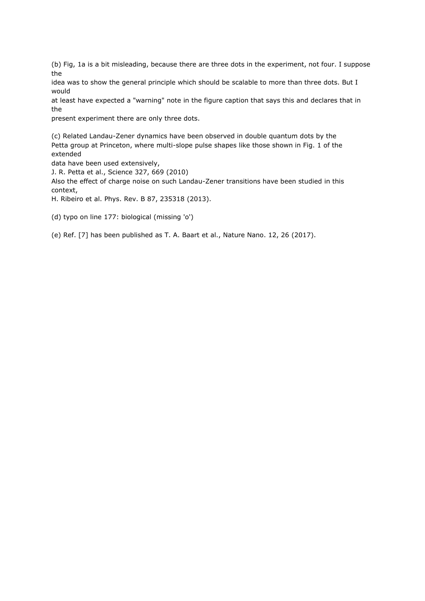(b) Fig, 1a is a bit misleading, because there are three dots in the experiment, not four. I suppose the

idea was to show the general principle which should be scalable to more than three dots. But I would

at least have expected a "warning" note in the figure caption that says this and declares that in the

present experiment there are only three dots.

(c) Related Landau-Zener dynamics have been observed in double quantum dots by the Petta group at Princeton, where multi-slope pulse shapes like those shown in Fig. 1 of the extended

data have been used extensively,

J. R. Petta et al., Science 327, 669 (2010)

Also the effect of charge noise on such Landau-Zener transitions have been studied in this context,

H. Ribeiro et al. Phys. Rev. B 87, 235318 (2013).

(d) typo on line 177: biological (missing 'o')

(e) Ref. [7] has been published as T. A. Baart et al., Nature Nano. 12, 26 (2017).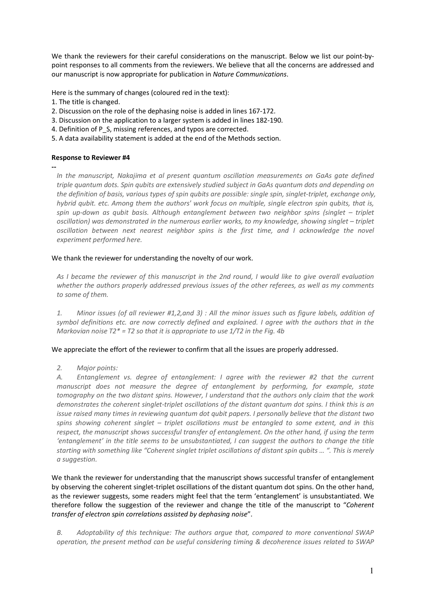We thank the reviewers for their careful considerations on the manuscript. Below we list our point-bypoint responses to all comments from the reviewers. We believe that all the concerns are addressed and our manuscript is now appropriate for publication in *Nature Communications*.

Here is the summary of changes (coloured red in the text):

- 1. The title is changed.
- 2. Discussion on the role of the dephasing noise is added in lines 167-172.
- 3. Discussion on the application to a larger system is added in lines 182-190.
- 4. Definition of P S, missing references, and typos are corrected.
- 5. A data availability statement is added at the end of the Methods section.

### **Response to Reviewer #4**

**--**

*In the manuscript, Nakajima et al present quantum oscillation measurements on GaAs gate defined triple quantum dots. Spin qubits are extensively studied subject in GaAs quantum dots and depending on the definition of basis, various types of spin qubits are possible: single spin, singlet-triplet, exchange only, hybrid qubit. etc. Among them the authors' work focus on multiple, single electron spin qubits, that is, spin up-down as qubit basis. Although entanglement between two neighbor spins (singlet – triplet oscillation) was demonstrated in the numerous earlier works, to my knowledge, showing singlet – triplet*  oscillation between next nearest neighbor spins is the first time, and I acknowledge the novel *experiment performed here.* 

### We thank the reviewer for understanding the novelty of our work.

*As I became the reviewer of this manuscript in the 2nd round, I would like to give overall evaluation whether the authors properly addressed previous issues of the other referees, as well as my comments to some of them.*

*1. Minor issues (of all reviewer #1,2,and 3) : All the minor issues such as figure labels, addition of symbol definitions etc. are now correctly defined and explained. I agree with the authors that in the Markovian noise T2\* = T2 so that it is appropriate to use 1/T2 in the Fig. 4b*

### We appreciate the effort of the reviewer to confirm that all the issues are properly addressed.

*2. Major points:* 

*A. Entanglement vs. degree of entanglement: I agree with the reviewer #2 that the current manuscript does not measure the degree of entanglement by performing, for example, state tomography on the two distant spins. However, I understand that the authors only claim that the work demonstrates the coherent singlet-triplet oscillations of the distant quantum dot spins. I think this is an issue raised many times in reviewing quantum dot qubit papers. I personally believe that the distant two spins showing coherent singlet – triplet oscillations must be entangled to some extent, and in this respect, the manuscript shows successful transfer of entanglement. On the other hand, if using the term 'entanglement' in the title seems to be unsubstantiated, I can suggest the authors to change the title starting with something like "Coherent singlet triplet oscillations of distant spin qubits … ". This is merely a suggestion.*

We thank the reviewer for understanding that the manuscript shows successful transfer of entanglement by observing the coherent singlet-triplet oscillations of the distant quantum dot spins. On the other hand, as the reviewer suggests, some readers might feel that the term 'entanglement' is unsubstantiated. We therefore follow the suggestion of the reviewer and change the title of the manuscript to "*Coherent transfer of electron spin correlations assisted by dephasing noise*".

*B. Adoptability of this technique: The authors argue that, compared to more conventional SWAP operation, the present method can be useful considering timing & decoherence issues related to SWAP*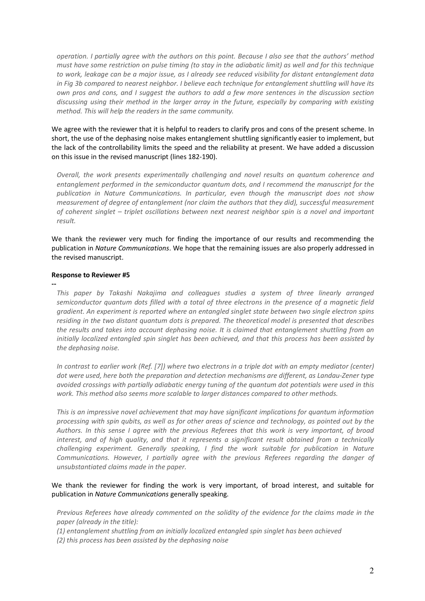*operation. I partially agree with the authors on this point. Because I also see that the authors' method must have some restriction on pulse timing (to stay in the adiabatic limit) as well and for this technique to work, leakage can be a major issue, as I already see reduced visibility for distant entanglement data in Fig 3b compared to nearest neighbor. I believe each technique for entanglement shuttling will have its own pros and cons, and I suggest the authors to add a few more sentences in the discussion section discussing using their method in the larger array in the future, especially by comparing with existing method. This will help the readers in the same community.* 

We agree with the reviewer that it is helpful to readers to clarify pros and cons of the present scheme. In short, the use of the dephasing noise makes entanglement shuttling significantly easier to implement, but the lack of the controllability limits the speed and the reliability at present. We have added a discussion on this issue in the revised manuscript (lines 182-190).

*Overall, the work presents experimentally challenging and novel results on quantum coherence and entanglement performed in the semiconductor quantum dots, and I recommend the manuscript for the publication in Nature Communications. In particular, even though the manuscript does not show measurement of degree of entanglement (nor claim the authors that they did), successful measurement of coherent singlet – triplet oscillations between next nearest neighbor spin is a novel and important result.*

We thank the reviewer very much for finding the importance of our results and recommending the publication in *Nature Communications*. We hope that the remaining issues are also properly addressed in the revised manuscript.

#### **Response to Reviewer #5**

**--**

*This paper by Takashi Nakajima and colleagues studies a system of three linearly arranged semiconductor quantum dots filled with a total of three electrons in the presence of a magnetic field gradient. An experiment is reported where an entangled singlet state between two single electron spins residing in the two distant quantum dots is prepared. The theoretical model is presented that describes the results and takes into account dephasing noise. It is claimed that entanglement shuttling from an initially localized entangled spin singlet has been achieved, and that this process has been assisted by the dephasing noise.*

*In contrast to earlier work (Ref. [7]) where two electrons in a triple dot with an empty mediator (center) dot were used, here both the preparation and detection mechanisms are different, as Landau-Zener type avoided crossings with partially adiabatic energy tuning of the quantum dot potentials were used in this work. This method also seems more scalable to larger distances compared to other methods.*

*This is an impressive novel achievement that may have significant implications for quantum information processing with spin qubits, as well as for other areas of science and technology, as pointed out by the Authors. In this sense I agree with the previous Referees that this work is very important, of broad interest, and of high quality, and that it represents a significant result obtained from a technically challenging experiment. Generally speaking, I find the work suitable for publication in Nature Communications. However, I partially agree with the previous Referees regarding the danger of unsubstantiated claims made in the paper.*

### We thank the reviewer for finding the work is very important, of broad interest, and suitable for publication in *Nature Communications* generally speaking.

*Previous Referees have already commented on the solidity of the evidence for the claims made in the paper (already in the title):*

*(1) entanglement shuttling from an initially localized entangled spin singlet has been achieved*

*(2) this process has been assisted by the dephasing noise*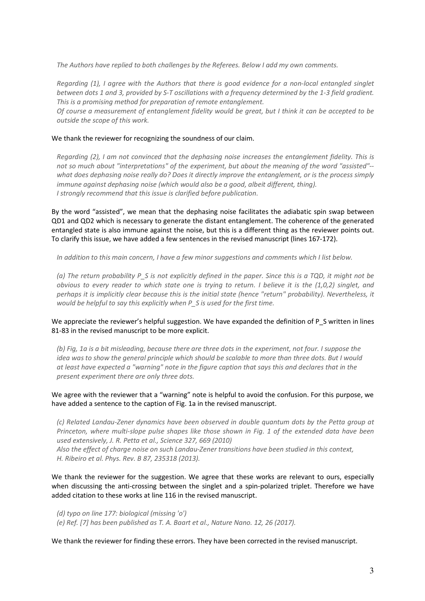*The Authors have replied to both challenges by the Referees. Below I add my own comments.*

*Regarding (1), I agree with the Authors that there is good evidence for a non-local entangled singlet between dots 1 and 3, provided by S-T oscillations with a frequency determined by the 1-3 field gradient. This is a promising method for preparation of remote entanglement.*

*Of course a measurement of entanglement fidelity would be great, but I think it can be accepted to be outside the scope of this work.*

#### We thank the reviewer for recognizing the soundness of our claim.

*Regarding (2), I am not convinced that the dephasing noise increases the entanglement fidelity. This is not so much about "interpretations" of the experiment, but about the meaning of the word "assisted"- what does dephasing noise really do? Does it directly improve the entanglement, or is the process simply immune against dephasing noise (which would also be a good, albeit different, thing). I strongly recommend that this issue is clarified before publication.*

By the word "assisted", we mean that the dephasing noise facilitates the adiabatic spin swap between QD1 and QD2 which is necessary to generate the distant entanglement. The coherence of the generated entangled state is also immune against the noise, but this is a different thing as the reviewer points out. To clarify this issue, we have added a few sentences in the revised manuscript (lines 167-172).

*In addition to this main concern, I have a few minor suggestions and comments which I list below.*

*(a) The return probability P\_S is not explicitly defined in the paper. Since this is a TQD, it might not be obvious to every reader to which state one is trying to return. I believe it is the (1,0,2) singlet, and perhaps it is implicitly clear because this is the initial state (hence "return" probability). Nevertheless, it would be helpful to say this explicitly when P\_S is used for the first time.*

#### We appreciate the reviewer's helpful suggestion. We have expanded the definition of P\_S written in lines 81-83 in the revised manuscript to be more explicit.

*(b) Fig, 1a is a bit misleading, because there are three dots in the experiment, not four. I suppose the idea was to show the general principle which should be scalable to more than three dots. But I would at least have expected a "warning" note in the figure caption that says this and declares that in the present experiment there are only three dots.*

### We agree with the reviewer that a "warning" note is helpful to avoid the confusion. For this purpose, we have added a sentence to the caption of Fig. 1a in the revised manuscript.

*(c) Related Landau-Zener dynamics have been observed in double quantum dots by the Petta group at Princeton, where multi-slope pulse shapes like those shown in Fig. 1 of the extended data have been used extensively, J. R. Petta et al., Science 327, 669 (2010) Also the effect of charge noise on such Landau-Zener transitions have been studied in this context,*

*H. Ribeiro et al. Phys. Rev. B 87, 235318 (2013).*

We thank the reviewer for the suggestion. We agree that these works are relevant to ours, especially when discussing the anti-crossing between the singlet and a spin-polarized triplet. Therefore we have added citation to these works at line 116 in the revised manuscript.

*(d) typo on line 177: biological (missing 'o') (e) Ref. [7] has been published as T. A. Baart et al., Nature Nano. 12, 26 (2017).*

We thank the reviewer for finding these errors. They have been corrected in the revised manuscript.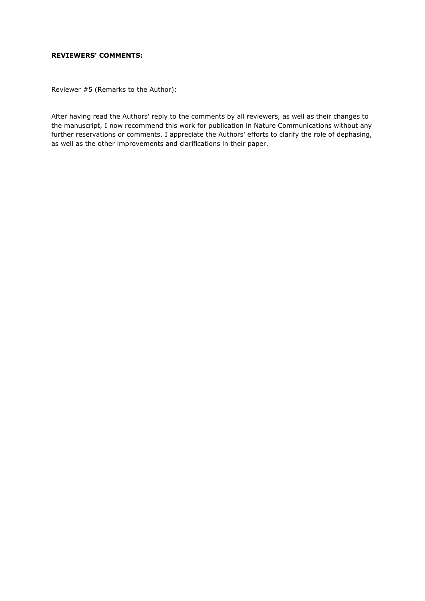## **REVIEWERS' COMMENTS:**

Reviewer #5 (Remarks to the Author):

After having read the Authors' reply to the comments by all reviewers, as well as their changes to the manuscript, I now recommend this work for publication in Nature Communications without any further reservations or comments. I appreciate the Authors' efforts to clarify the role of dephasing, as well as the other improvements and clarifications in their paper.